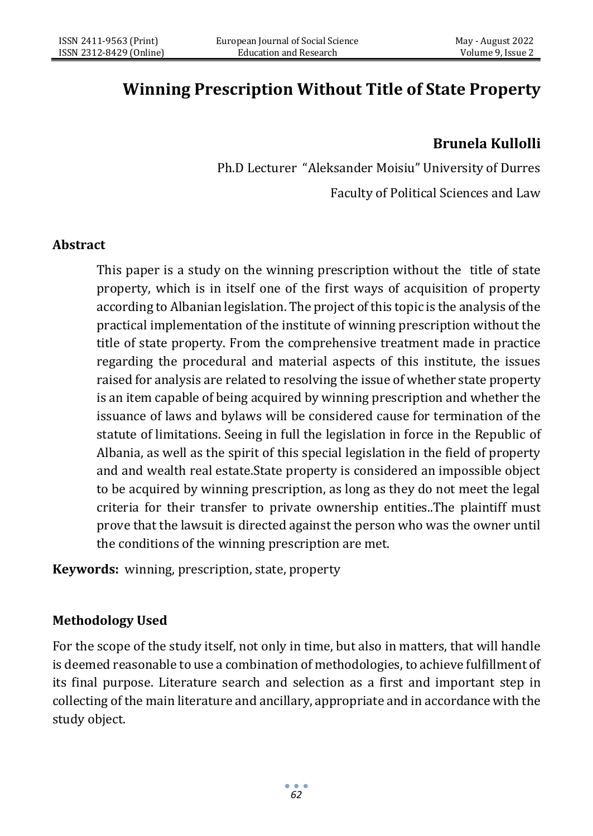# **Winning Prescription Without Title of State Property**

# **Brunela Kullolli**

Ph.D Lecturer "Aleksander Moisiu" University of Durres Faculty of Political Sciences and Law

#### **Abstract**

This paper is a study on the winning prescription without the title of state property, which is in itself one of the first ways of acquisition of property according to Albanian legislation. The project of this topic is the analysis of the practical implementation of the institute of winning prescription without the title of state property. From the comprehensive treatment made in practice regarding the procedural and material aspects of this institute, the issues raised for analysis are related to resolving the issue of whether state property is an item capable of being acquired by winning prescription and whether the issuance of laws and bylaws will be considered cause for termination of the statute of limitations. Seeing in full the legislation in force in the Republic of Albania, as well as the spirit of this special legislation in the field of property and and wealth real estate.State property is considered an impossible object to be acquired by winning prescription, as long as they do not meet the legal criteria for their transfer to private ownership entities..The plaintiff must prove that the lawsuit is directed against the person who was the owner until the conditions of the winning prescription are met.

**Keywords:** winning, prescription, state, property

#### **Methodology Used**

For the scope of the study itself, not only in time, but also in matters, that will handle is deemed reasonable to use a combination of methodologies, to achieve fulfillment of its final purpose. Literature search and selection as a first and important step in collecting of the main literature and ancillary, appropriate and in accordance with the study object.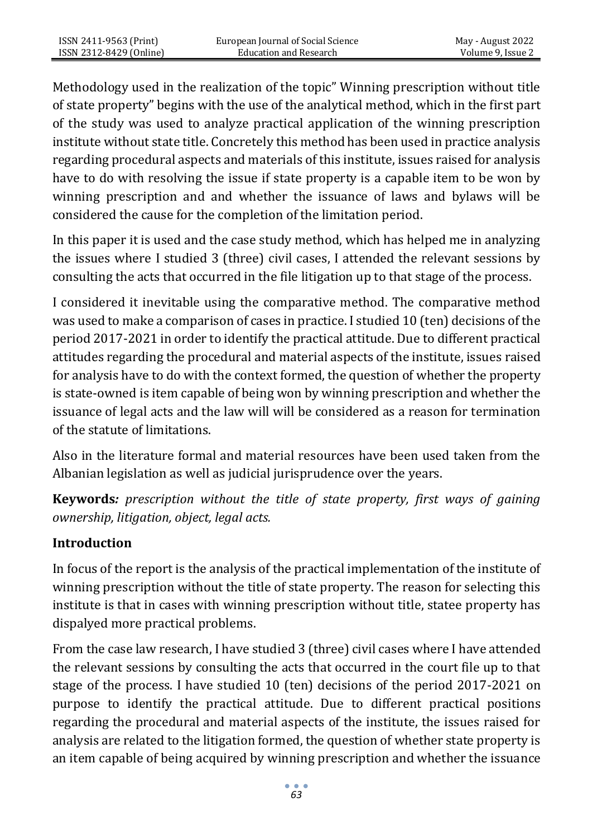Methodology used in the realization of the topic" Winning prescription without title of state property" begins with the use of the analytical method, which in the first part of the study was used to analyze practical application of the winning prescription institute without state title. Concretely this method has been used in practice analysis regarding procedural aspects and materials of this institute, issues raised for analysis have to do with resolving the issue if state property is a capable item to be won by winning prescription and and whether the issuance of laws and bylaws will be considered the cause for the completion of the limitation period.

In this paper it is used and the case study method, which has helped me in analyzing the issues where I studied 3 (three) civil cases, I attended the relevant sessions by consulting the acts that occurred in the file litigation up to that stage of the process.

I considered it inevitable using the comparative method. The comparative method was used to make a comparison of cases in practice. I studied 10 (ten) decisions of the period 2017-2021 in order to identify the practical attitude. Due to different practical attitudes regarding the procedural and material aspects of the institute, issues raised for analysis have to do with the context formed, the question of whether the property is state-owned is item capable of being won by winning prescription and whether the issuance of legal acts and the law will will be considered as a reason for termination of the statute of limitations.

Also in the literature formal and material resources have been used taken from the Albanian legislation as well as judicial jurisprudence over the years.

**Keywords***: prescription without the title of state property, first ways of gaining ownership, litigation, object, legal acts.*

#### **Introduction**

In focus of the report is the analysis of the practical implementation of the institute of winning prescription without the title of state property. The reason for selecting this institute is that in cases with winning prescription without title, statee property has dispalyed more practical problems.

From the case law research, I have studied 3 (three) civil cases where I have attended the relevant sessions by consulting the acts that occurred in the court file up to that stage of the process. I have studied 10 (ten) decisions of the period 2017-2021 on purpose to identify the practical attitude. Due to different practical positions regarding the procedural and material aspects of the institute, the issues raised for analysis are related to the litigation formed, the question of whether state property is an item capable of being acquired by winning prescription and whether the issuance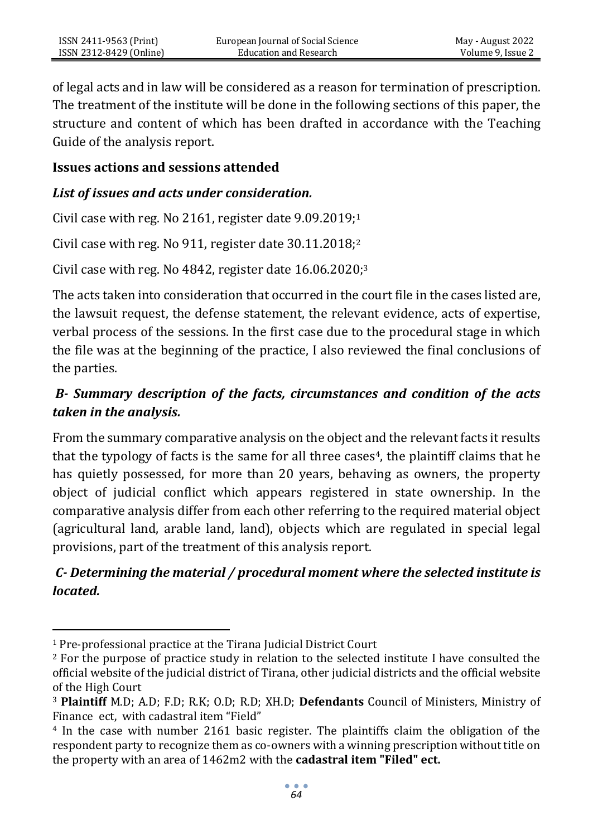of legal acts and in law will be considered as a reason for termination of prescription. The treatment of the institute will be done in the following sections of this paper, the structure and content of which has been drafted in accordance with the Teaching Guide of the analysis report.

#### **Issues actions and sessions attended**

## *List of issues and acts under consideration.*

Civil case with reg. No 2161, register date 9.09.2019;<sup>1</sup>

Civil case with reg. No 911, register date 30.11.2018;<sup>2</sup>

Civil case with reg. No  $4842$ , register date  $16.06.2020$ ;<sup>3</sup>

The acts taken into consideration that occurred in the court file in the cases listed are, the lawsuit request, the defense statement, the relevant evidence, acts of expertise, verbal process of the sessions. In the first case due to the procedural stage in which the file was at the beginning of the practice, I also reviewed the final conclusions of the parties.

# *B- Summary description of the facts, circumstances and condition of the acts taken in the analysis.*

From the summary comparative analysis on the object and the relevant facts it results that the typology of facts is the same for all three cases<sup>4</sup>, the plaintiff claims that he has quietly possessed, for more than 20 years, behaving as owners, the property object of judicial conflict which appears registered in state ownership. In the comparative analysis differ from each other referring to the required material object (agricultural land, arable land, land), objects which are regulated in special legal provisions, part of the treatment of this analysis report.

# *C- Determining the material / procedural moment where the selected institute is located.*

<sup>1</sup> Pre-professional practice at the Tirana Judicial District Court

<sup>&</sup>lt;sup>2</sup> For the purpose of practice study in relation to the selected institute I have consulted the official website of the judicial district of Tirana, other judicial districts and the official website of the High Court

<sup>3</sup> **Plaintiff** M.D; A.D; F.D; R.K; O.D; R.D; XH.D; **Defendants** Council of Ministers, Ministry of Finance ect, with cadastral item "Field"

<sup>4</sup> In the case with number 2161 basic register. The plaintiffs claim the obligation of the respondent party to recognize them as co-owners with a winning prescription without title on the property with an area of 1462m2 with the **cadastral item "Filed" ect.**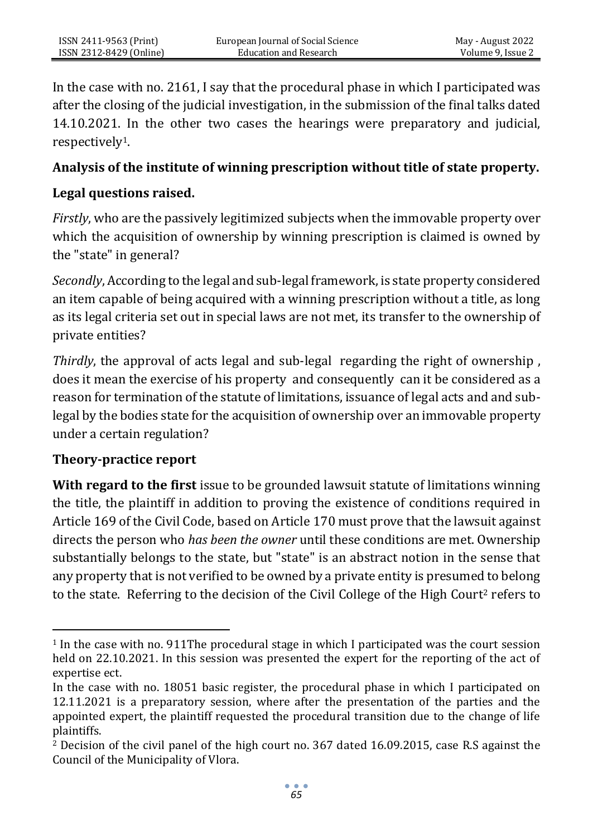In the case with no. 2161, I say that the procedural phase in which I participated was after the closing of the judicial investigation, in the submission of the final talks dated 14.10.2021. In the other two cases the hearings were preparatory and judicial, respectively1.

#### **Analysis of the institute of winning prescription without title of state property.**

#### **Legal questions raised.**

*Firstly*, who are the passively legitimized subjects when the immovable property over which the acquisition of ownership by winning prescription is claimed is owned by the "state" in general?

*Secondly*, According to the legal and sub-legal framework, is state property considered an item capable of being acquired with a winning prescription without a title, as long as its legal criteria set out in special laws are not met, its transfer to the ownership of private entities?

*Thirdly*, the approval of acts legal and sub-legal regarding the right of ownership , does it mean the exercise of his property and consequently can it be considered as a reason for termination of the statute of limitations, issuance of legal acts and and sublegal by the bodies state for the acquisition of ownership over an immovable property under a certain regulation?

#### **Theory-practice report**

**With regard to the first** issue to be grounded lawsuit statute of limitations winning the title, the plaintiff in addition to proving the existence of conditions required in Article 169 of the Civil Code, based on Article 170 must prove that the lawsuit against directs the person who *has been the owner* until these conditions are met. Ownership substantially belongs to the state, but "state" is an abstract notion in the sense that any property that is not verified to be owned by a private entity is presumed to belong to the state. Referring to the decision of the Civil College of the High Court<sup>2</sup> refers to

<sup>1</sup> In the case with no. 911The procedural stage in which I participated was the court session held on 22.10.2021. In this session was presented the expert for the reporting of the act of expertise ect.

In the case with no. 18051 basic register, the procedural phase in which I participated on 12.11.2021 is a preparatory session, where after the presentation of the parties and the appointed expert, the plaintiff requested the procedural transition due to the change of life plaintiffs.

<sup>2</sup> Decision of the civil panel of the high court no. 367 dated 16.09.2015, case R.S against the Council of the Municipality of Vlora.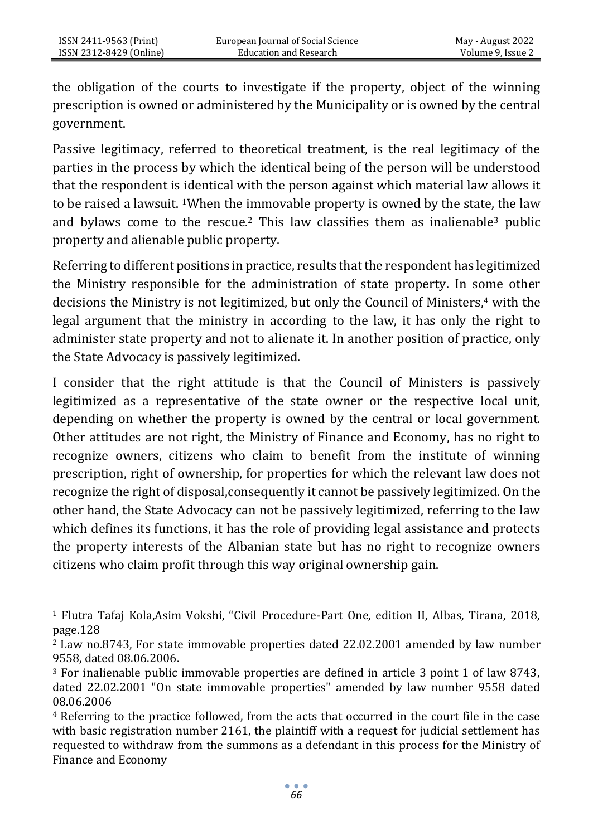the obligation of the courts to investigate if the property, object of the winning prescription is owned or administered by the Municipality or is owned by the central government.

Passive legitimacy, referred to theoretical treatment, is the real legitimacy of the parties in the process by which the identical being of the person will be understood that the respondent is identical with the person against which material law allows it to be raised a lawsuit. 1When the immovable property is owned by the state, the law and bylaws come to the rescue.<sup>2</sup> This law classifies them as inalienable<sup>3</sup> public property and alienable public property.

Referring to different positions in practice, results that the respondent has legitimized the Ministry responsible for the administration of state property. In some other decisions the Ministry is not legitimized, but only the Council of Ministers,<sup>4</sup> with the legal argument that the ministry in according to the law, it has only the right to administer state property and not to alienate it. In another position of practice, only the State Advocacy is passively legitimized.

I consider that the right attitude is that the Council of Ministers is passively legitimized as a representative of the state owner or the respective local unit, depending on whether the property is owned by the central or local government. Other attitudes are not right, the Ministry of Finance and Economy, has no right to recognize owners, citizens who claim to benefit from the institute of winning prescription, right of ownership, for properties for which the relevant law does not recognize the right of disposal,consequently it cannot be passively legitimized. On the other hand, the State Advocacy can not be passively legitimized, referring to the law which defines its functions, it has the role of providing legal assistance and protects the property interests of the Albanian state but has no right to recognize owners citizens who claim profit through this way original ownership gain.

<sup>1</sup> Flutra Tafaj Kola,Asim Vokshi, "Civil Procedure-Part One, edition II, Albas, Tirana, 2018, page.128

<sup>2</sup> Law no.8743, For state immovable properties dated 22.02.2001 amended by law number 9558, dated 08.06.2006.

<sup>3</sup> For inalienable public immovable properties are defined in article 3 point 1 of law 8743, dated 22.02.2001 "On state immovable properties" amended by law number 9558 dated 08.06.2006

<sup>4</sup> Referring to the practice followed, from the acts that occurred in the court file in the case with basic registration number 2161, the plaintiff with a request for judicial settlement has requested to withdraw from the summons as a defendant in this process for the Ministry of Finance and Economy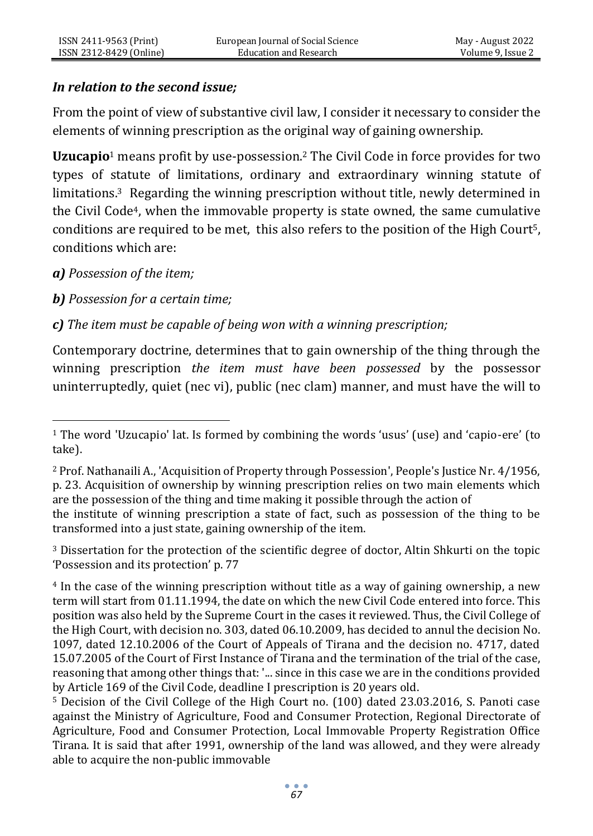#### *In relation to the second issue;*

From the point of view of substantive civil law, I consider it necessary to consider the elements of winning prescription as the original way of gaining ownership.

**Uzucapio**<sup>1</sup> means profit by use-possession.<sup>2</sup> The Civil Code in force provides for two types of statute of limitations, ordinary and extraordinary winning statute of limitations.3 Regarding the winning prescription without title, newly determined in the Civil Code4, when the immovable property is state owned, the same cumulative conditions are required to be met, this also refers to the position of the High Court5, conditions which are:

#### *a) Possession of the item;*

*b) Possession for a certain time;*

*c) The item must be capable of being won with a winning prescription;*

Contemporary doctrine, determines that to gain ownership of the thing through the winning prescription *the item must have been possessed* by the possessor uninterruptedly, quiet (nec vi), public (nec clam) manner, and must have the will to

<sup>3</sup> Dissertation for the protection of the scientific degree of doctor, Altin Shkurti on the topic 'Possession and its protection' p. 77

<sup>1</sup> The word 'Uzucapio' lat. Is formed by combining the words 'usus' (use) and 'capio-ere' (to take).

<sup>2</sup> Prof. Nathanaili A., 'Acquisition of Property through Possession', People's Justice Nr. 4/1956, p. 23. Acquisition of ownership by winning prescription relies on two main elements which are the possession of the thing and time making it possible through the action of

the institute of winning prescription a state of fact, such as possession of the thing to be transformed into a just state, gaining ownership of the item.

<sup>4</sup> In the case of the winning prescription without title as a way of gaining ownership, a new term will start from 01.11.1994, the date on which the new Civil Code entered into force. This position was also held by the Supreme Court in the cases it reviewed. Thus, the Civil College of the High Court, with decision no. 303, dated 06.10.2009, has decided to annul the decision No. 1097, dated 12.10.2006 of the Court of Appeals of Tirana and the decision no. 4717, dated 15.07.2005 of the Court of First Instance of Tirana and the termination of the trial of the case, reasoning that among other things that: '... since in this case we are in the conditions provided by Article 169 of the Civil Code, deadline I prescription is 20 years old.

<sup>5</sup> Decision of the Civil College of the High Court no. (100) dated 23.03.2016, S. Panoti case against the Ministry of Agriculture, Food and Consumer Protection, Regional Directorate of Agriculture, Food and Consumer Protection, Local Immovable Property Registration Office Tirana. It is said that after 1991, ownership of the land was allowed, and they were already able to acquire the non-public immovable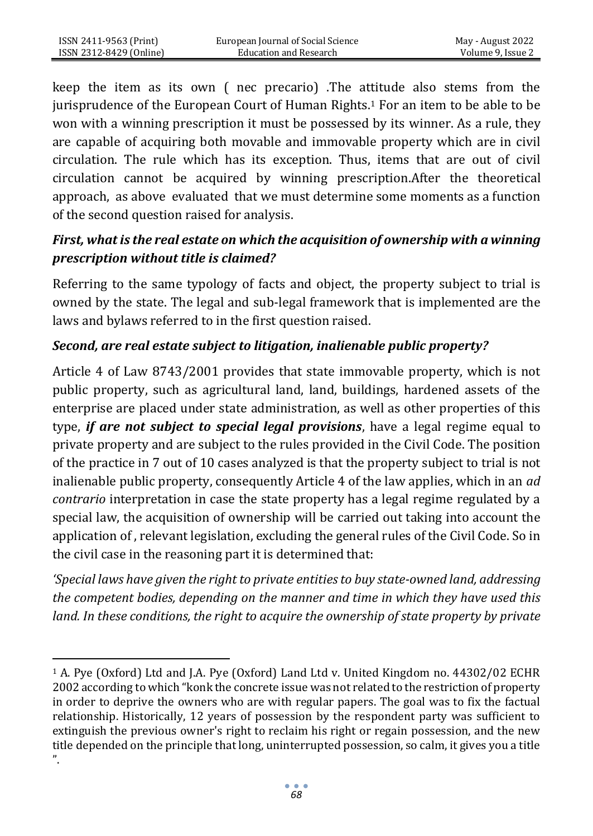keep the item as its own ( nec precario) .The attitude also stems from the jurisprudence of the European Court of Human Rights.<sup>1</sup> For an item to be able to be won with a winning prescription it must be possessed by its winner. As a rule, they are capable of acquiring both movable and immovable property which are in civil circulation. The rule which has its exception. Thus, items that are out of civil circulation cannot be acquired by winning prescription.After the theoretical approach, as above evaluated that we must determine some moments as a function of the second question raised for analysis.

# *First, what is the real estate on which the acquisition of ownership with a winning prescription without title is claimed?*

Referring to the same typology of facts and object, the property subject to trial is owned by the state. The legal and sub-legal framework that is implemented are the laws and bylaws referred to in the first question raised.

# *Second, are real estate subject to litigation, inalienable public property?*

Article 4 of Law 8743/2001 provides that state immovable property, which is not public property, such as agricultural land, land, buildings, hardened assets of the enterprise are placed under state administration, as well as other properties of this type, *if are not subject to special legal provisions*, have a legal regime equal to private property and are subject to the rules provided in the Civil Code. The position of the practice in 7 out of 10 cases analyzed is that the property subject to trial is not inalienable public property, consequently Article 4 of the law applies, which in an *ad contrario* interpretation in case the state property has a legal regime regulated by a special law, the acquisition of ownership will be carried out taking into account the application of , relevant legislation, excluding the general rules of the Civil Code. So in the civil case in the reasoning part it is determined that:

*'Special laws have given the right to private entities to buy state-owned land, addressing the competent bodies, depending on the manner and time in which they have used this land. In these conditions, the right to acquire the ownership of state property by private* 

<sup>1</sup> A. Pye (Oxford) Ltd and J.A. Pye (Oxford) Land Ltd v. United Kingdom no. 44302/02 ECHR 2002 according to which "konk the concrete issue was not related to the restriction of property in order to deprive the owners who are with regular papers. The goal was to fix the factual relationship. Historically, 12 years of possession by the respondent party was sufficient to extinguish the previous owner's right to reclaim his right or regain possession, and the new title depended on the principle that long, uninterrupted possession, so calm, it gives you a title  $"$ .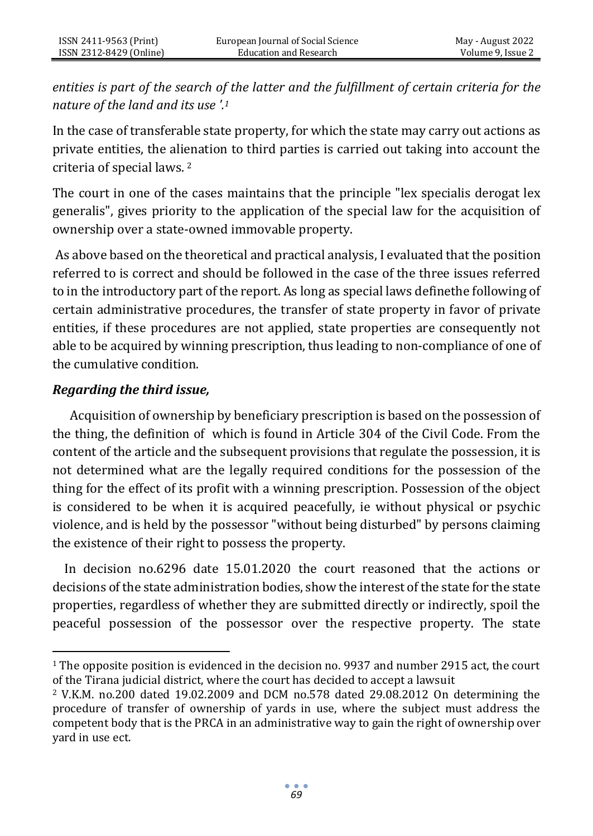*entities is part of the search of the latter and the fulfillment of certain criteria for the nature of the land and its use '.<sup>1</sup>*

In the case of transferable state property, for which the state may carry out actions as private entities, the alienation to third parties is carried out taking into account the criteria of special laws. <sup>2</sup>

The court in one of the cases maintains that the principle "lex specialis derogat lex generalis", gives priority to the application of the special law for the acquisition of ownership over a state-owned immovable property.

As above based on the theoretical and practical analysis, I evaluated that the position referred to is correct and should be followed in the case of the three issues referred to in the introductory part of the report. As long as special laws definethe following of certain administrative procedures, the transfer of state property in favor of private entities, if these procedures are not applied, state properties are consequently not able to be acquired by winning prescription, thus leading to non-compliance of one of the cumulative condition.

#### *Regarding the third issue,*

 Acquisition of ownership by beneficiary prescription is based on the possession of the thing, the definition of which is found in Article 304 of the Civil Code. From the content of the article and the subsequent provisions that regulate the possession, it is not determined what are the legally required conditions for the possession of the thing for the effect of its profit with a winning prescription. Possession of the object is considered to be when it is acquired peacefully, ie without physical or psychic violence, and is held by the possessor "without being disturbed" by persons claiming the existence of their right to possess the property.

 In decision no.6296 date 15.01.2020 the court reasoned that the actions or decisions of the state administration bodies, show the interest of the state for the state properties, regardless of whether they are submitted directly or indirectly, spoil the peaceful possession of the possessor over the respective property. The state

<sup>1</sup> The opposite position is evidenced in the decision no. 9937 and number 2915 act, the court of the Tirana judicial district, where the court has decided to accept a lawsuit

<sup>2</sup> V.K.M. no.200 dated 19.02.2009 and DCM no.578 dated 29.08.2012 On determining the procedure of transfer of ownership of yards in use, where the subject must address the competent body that is the PRCA in an administrative way to gain the right of ownership over yard in use ect.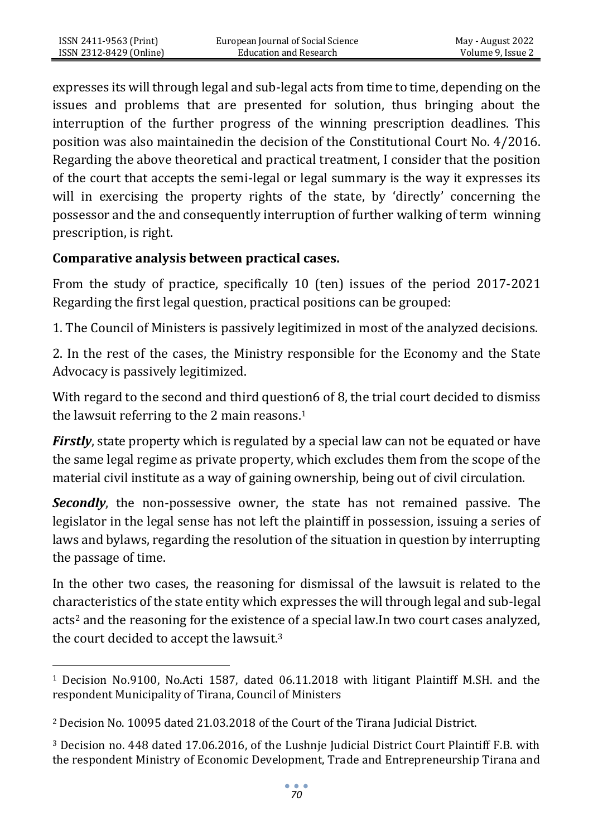expresses its will through legal and sub-legal acts from time to time, depending on the issues and problems that are presented for solution, thus bringing about the interruption of the further progress of the winning prescription deadlines. This position was also maintainedin the decision of the Constitutional Court No. 4/2016. Regarding the above theoretical and practical treatment, I consider that the position of the court that accepts the semi-legal or legal summary is the way it expresses its will in exercising the property rights of the state, by 'directly' concerning the possessor and the and consequently interruption of further walking of term winning prescription, is right.

# **Comparative analysis between practical cases.**

ISSN 2411-9563 (Print) ISSN 2312-8429 (Online)

From the study of practice, specifically 10 (ten) issues of the period 2017-2021 Regarding the first legal question, practical positions can be grouped:

1. The Council of Ministers is passively legitimized in most of the analyzed decisions.

2. In the rest of the cases, the Ministry responsible for the Economy and the State Advocacy is passively legitimized.

With regard to the second and third question6 of 8, the trial court decided to dismiss the lawsuit referring to the 2 main reasons.<sup>1</sup>

*Firstly*, state property which is regulated by a special law can not be equated or have the same legal regime as private property, which excludes them from the scope of the material civil institute as a way of gaining ownership, being out of civil circulation.

*Secondly*, the non-possessive owner, the state has not remained passive. The legislator in the legal sense has not left the plaintiff in possession, issuing a series of laws and bylaws, regarding the resolution of the situation in question by interrupting the passage of time.

In the other two cases, the reasoning for dismissal of the lawsuit is related to the characteristics of the state entity which expresses the will through legal and sub-legal acts<sup>2</sup> and the reasoning for the existence of a special law.In two court cases analyzed, the court decided to accept the lawsuit.<sup>3</sup>

<sup>1</sup> Decision No.9100, No.Acti 1587, dated 06.11.2018 with litigant Plaintiff M.SH. and the respondent Municipality of Tirana, Council of Ministers

<sup>2</sup> Decision No. 10095 dated 21.03.2018 of the Court of the Tirana Judicial District.

<sup>3</sup> Decision no. 448 dated 17.06.2016, of the Lushnje Judicial District Court Plaintiff F.B. with the respondent Ministry of Economic Development, Trade and Entrepreneurship Tirana and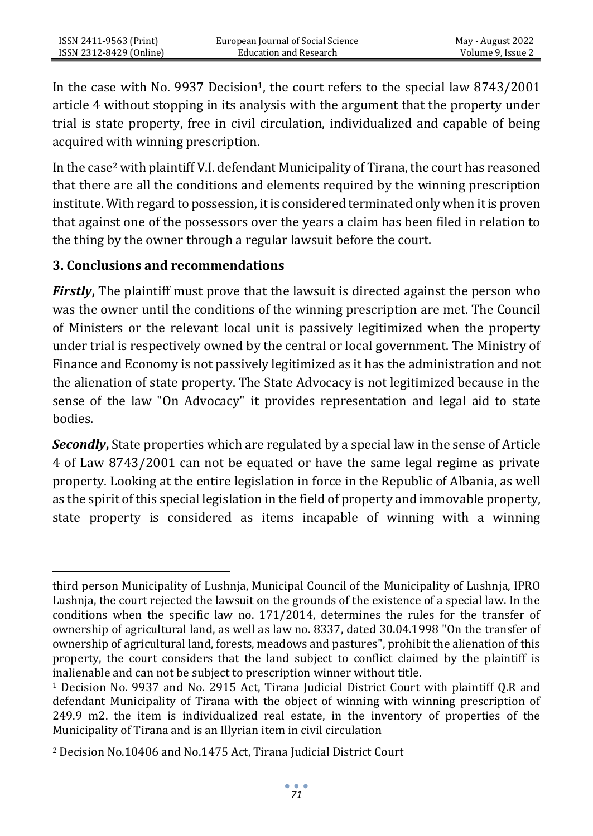In the case with No. 9937 Decision<sup>1</sup>, the court refers to the special law 8743/2001 article 4 without stopping in its analysis with the argument that the property under trial is state property, free in civil circulation, individualized and capable of being acquired with winning prescription.

In the case<sup>2</sup> with plaintiff V.I. defendant Municipality of Tirana, the court has reasoned that there are all the conditions and elements required by the winning prescription institute. With regard to possession, it is considered terminated only when it is proven that against one of the possessors over the years a claim has been filed in relation to the thing by the owner through a regular lawsuit before the court.

#### **3. Conclusions and recommendations**

*Firstly***,** The plaintiff must prove that the lawsuit is directed against the person who was the owner until the conditions of the winning prescription are met. The Council of Ministers or the relevant local unit is passively legitimized when the property under trial is respectively owned by the central or local government. The Ministry of Finance and Economy is not passively legitimized as it has the administration and not the alienation of state property. The State Advocacy is not legitimized because in the sense of the law "On Advocacy" it provides representation and legal aid to state bodies.

*Secondly***,** State properties which are regulated by a special law in the sense of Article 4 of Law 8743/2001 can not be equated or have the same legal regime as private property. Looking at the entire legislation in force in the Republic of Albania, as well as the spirit of this special legislation in the field of property and immovable property, state property is considered as items incapable of winning with a winning

third person Municipality of Lushnja, Municipal Council of the Municipality of Lushnja, IPRO Lushnja, the court rejected the lawsuit on the grounds of the existence of a special law. In the conditions when the specific law no. 171/2014, determines the rules for the transfer of ownership of agricultural land, as well as law no. 8337, dated 30.04.1998 "On the transfer of ownership of agricultural land, forests, meadows and pastures", prohibit the alienation of this property, the court considers that the land subject to conflict claimed by the plaintiff is inalienable and can not be subject to prescription winner without title.

<sup>1</sup> Decision No. 9937 and No. 2915 Act, Tirana Judicial District Court with plaintiff Q.R and defendant Municipality of Tirana with the object of winning with winning prescription of 249.9 m2. the item is individualized real estate, in the inventory of properties of the Municipality of Tirana and is an Illyrian item in civil circulation

<sup>2</sup> Decision No.10406 and No.1475 Act, Tirana Judicial District Court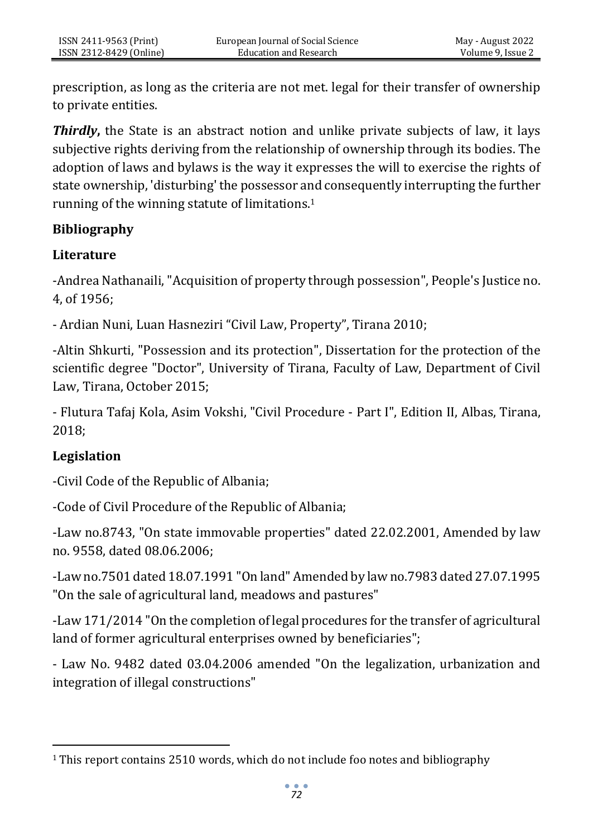prescription, as long as the criteria are not met. legal for their transfer of ownership to private entities.

*Thirdly***,** the State is an abstract notion and unlike private subjects of law, it lays subjective rights deriving from the relationship of ownership through its bodies. The adoption of laws and bylaws is the way it expresses the will to exercise the rights of state ownership, 'disturbing' the possessor and consequently interrupting the further running of the winning statute of limitations.<sup>1</sup>

## **Bibliography**

## **Literature**

-Andrea Nathanaili, "Acquisition of property through possession", People's Justice no. 4, of 1956;

- Ardian Nuni, Luan Hasneziri "Civil Law, Property", Tirana 2010;

-Altin Shkurti, "Possession and its protection", Dissertation for the protection of the scientific degree "Doctor", University of Tirana, Faculty of Law, Department of Civil Law, Tirana, October 2015;

- Flutura Tafaj Kola, Asim Vokshi, "Civil Procedure - Part I", Edition II, Albas, Tirana, 2018;

# **Legislation**

-Civil Code of the Republic of Albania;

-Code of Civil Procedure of the Republic of Albania;

-Law no.8743, "On state immovable properties" dated 22.02.2001, Amended by law no. 9558, dated 08.06.2006;

-Law no.7501 dated 18.07.1991 "On land" Amended by law no.7983 dated 27.07.1995 "On the sale of agricultural land, meadows and pastures"

-Law 171/2014 "On the completion of legal procedures for the transfer of agricultural land of former agricultural enterprises owned by beneficiaries";

- Law No. 9482 dated 03.04.2006 amended "On the legalization, urbanization and integration of illegal constructions"

 $1$  This report contains 2510 words, which do not include foo notes and bibliography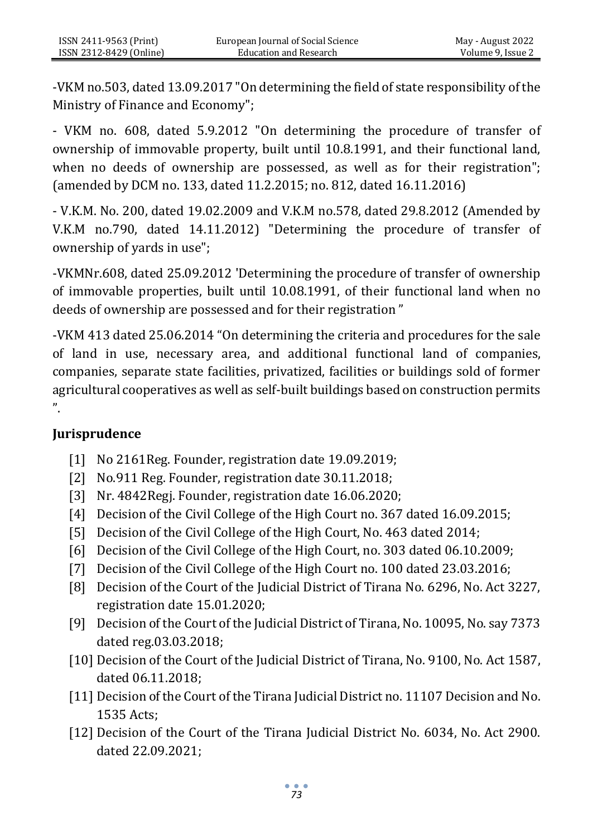-VKM no.503, dated 13.09.2017 "On determining the field of state responsibility of the Ministry of Finance and Economy";

- VKM no. 608, dated 5.9.2012 "On determining the procedure of transfer of ownership of immovable property, built until 10.8.1991, and their functional land, when no deeds of ownership are possessed, as well as for their registration"; (amended by DCM no. 133, dated 11.2.2015; no. 812, dated 16.11.2016)

- V.K.M. No. 200, dated 19.02.2009 and V.K.M no.578, dated 29.8.2012 (Amended by V.K.M no.790, dated 14.11.2012) "Determining the procedure of transfer of ownership of yards in use";

-VKMNr.608, dated 25.09.2012 'Determining the procedure of transfer of ownership of immovable properties, built until 10.08.1991, of their functional land when no deeds of ownership are possessed and for their registration "

-VKM 413 dated 25.06.2014 "On determining the criteria and procedures for the sale of land in use, necessary area, and additional functional land of companies, companies, separate state facilities, privatized, facilities or buildings sold of former agricultural cooperatives as well as self-built buildings based on construction permits ".

#### **Jurisprudence**

- [1] No 2161Reg. Founder, registration date 19.09.2019;
- [2] No.911 Reg. Founder, registration date 30.11.2018;
- [3] Nr. 4842Regj. Founder, registration date 16.06.2020;
- [4] Decision of the Civil College of the High Court no. 367 dated 16.09.2015;
- [5] Decision of the Civil College of the High Court, No. 463 dated 2014;
- [6] Decision of the Civil College of the High Court, no. 303 dated 06.10.2009;
- [7] Decision of the Civil College of the High Court no. 100 dated 23.03.2016;
- [8] Decision of the Court of the Judicial District of Tirana No. 6296, No. Act 3227, registration date 15.01.2020;
- [9] Decision of the Court of the Judicial District of Tirana, No. 10095, No. say 7373 dated reg.03.03.2018;
- [10] Decision of the Court of the Judicial District of Tirana, No. 9100, No. Act 1587, dated 06.11.2018;
- [11] Decision of the Court of the Tirana Judicial District no. 11107 Decision and No. 1535 Acts;
- [12] Decision of the Court of the Tirana Judicial District No. 6034, No. Act 2900. dated 22.09.2021;